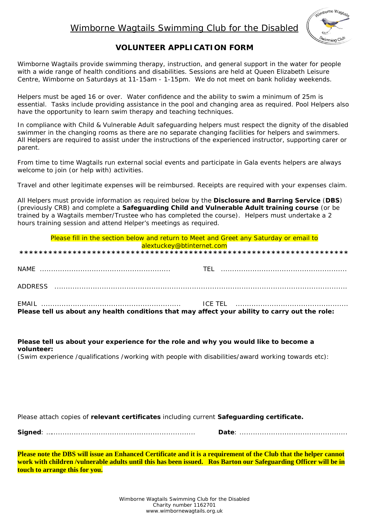# Wimborne Wagtails Swimming Club for the Disabled



## **VOLUNTEER APPLICATION FORM**

Wimborne Wagtails provide swimming therapy, instruction, and general support in the water for people with a wide range of health conditions and disabilities. Sessions are held at Queen Elizabeth Leisure Centre. Wimborne on Saturdays at 11-15am - 1-15pm. We do not meet on bank holiday weekends.

Helpers must be aged 16 or over. Water confidence and the ability to swim a minimum of 25m is essential. Tasks include providing assistance in the pool and changing area as required. Pool Helpers also have the opportunity to learn swim therapy and teaching techniques.

In compliance with Child & Vulnerable Adult safeguarding helpers must respect the dignity of the disabled swimmer in the changing rooms as there are no separate changing facilities for helpers and swimmers. All Helpers are required to assist under the instructions of the experienced instructor, supporting carer or parent.

From time to time Wagtails run external social events and participate in Gala events helpers are always welcome to join (or help with) activities.

Travel and other legitimate expenses will be reimbursed. Receipts are required with your expenses claim.

All Helpers must provide information as required below by the Disclosure and Barring Service (DBS) (previously CRB) and complete a Safequarding Child and Vulnerable Adult training course (or be trained by a Wagtails member/Trustee who has completed the course). Helpers must undertake a 2 hours training session and attend Helper's meetings as required.

| Please fill in the section below and return to Meet and Greet any Saturday or email to         |  |  |  |
|------------------------------------------------------------------------------------------------|--|--|--|
| alextuckey@btinternet.com                                                                      |  |  |  |
|                                                                                                |  |  |  |
|                                                                                                |  |  |  |
|                                                                                                |  |  |  |
|                                                                                                |  |  |  |
| ADDRESS                                                                                        |  |  |  |
|                                                                                                |  |  |  |
|                                                                                                |  |  |  |
| Please tell us about any health conditions that may affect your ability to carry out the role: |  |  |  |
|                                                                                                |  |  |  |

### Please tell us about your experience for the role and why you would like to become a volunteer:

(Swim experience /qualifications /working with people with disabilities/award working towards etc):

Please attach copies of relevant certificates including current Safeguarding certificate.

Please note the DBS will issue an Enhanced Certificate and it is a requirement of the Club that the helper cannot work with children /vulnerable adults until this has been issued. Ros Barton our Safeguarding Officer will be in touch to arrange this for you.